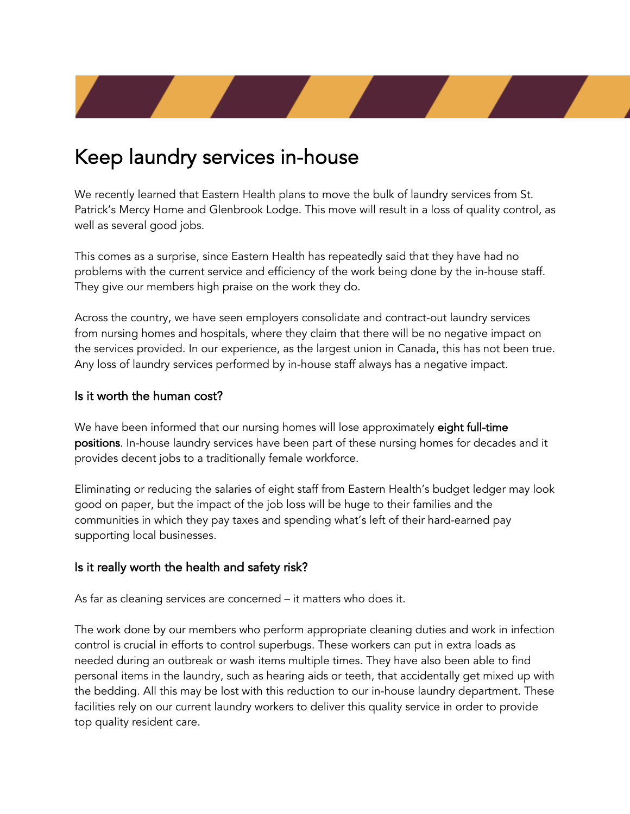# Keep laundry services in-house

We recently learned that Eastern Health plans to move the bulk of laundry services from St. Patrick's Mercy Home and Glenbrook Lodge. This move will result in a loss of quality control, as well as several good jobs.

This comes as a surprise, since Eastern Health has repeatedly said that they have had no problems with the current service and efficiency of the work being done by the in-house staff. They give our members high praise on the work they do.

Across the country, we have seen employers consolidate and contract-out laundry services from nursing homes and hospitals, where they claim that there will be no negative impact on the services provided. In our experience, as the largest union in Canada, this has not been true. Any loss of laundry services performed by in-house staff always has a negative impact.

### Is it worth the human cost?

We have been informed that our nursing homes will lose approximately eight full-time positions. In-house laundry services have been part of these nursing homes for decades and it provides decent jobs to a traditionally female workforce.

Eliminating or reducing the salaries of eight staff from Eastern Health's budget ledger may look good on paper, but the impact of the job loss will be huge to their families and the communities in which they pay taxes and spending what's left of their hard-earned pay supporting local businesses.

### Is it really worth the health and safety risk?

As far as cleaning services are concerned – it matters who does it.

The work done by our members who perform appropriate cleaning duties and work in infection control is crucial in efforts to control superbugs. These workers can put in extra loads as needed during an outbreak or wash items multiple times. They have also been able to find personal items in the laundry, such as hearing aids or teeth, that accidentally get mixed up with the bedding. All this may be lost with this reduction to our in-house laundry department. These facilities rely on our current laundry workers to deliver this quality service in order to provide top quality resident care.